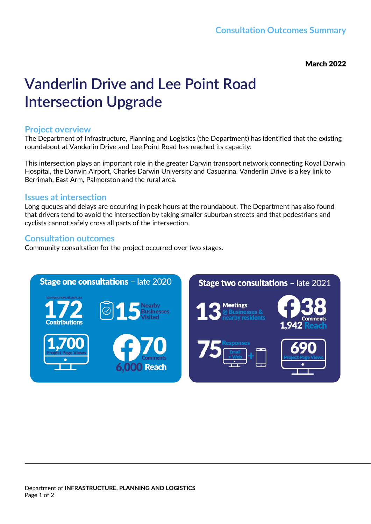March 2022

# **Vanderlin Drive and Lee Point Road Intersection Upgrade**

#### **Project overview**

The Department of Infrastructure, Planning and Logistics (the Department) has identified that the existing roundabout at Vanderlin Drive and Lee Point Road has reached its capacity.

This intersection plays an important role in the greater Darwin transport network connecting Royal Darwin Hospital, the Darwin Airport, Charles Darwin University and Casuarina. Vanderlin Drive is a key link to Berrimah, East Arm, Palmerston and the rural area.

#### **Issues at intersection**

Long queues and delays are occurring in peak hours at the roundabout. The Department has also found that drivers tend to avoid the intersection by taking smaller suburban streets and that pedestrians and cyclists cannot safely cross all parts of the intersection.

#### **Consultation outcomes**

Community consultation for the project occurred over two stages.